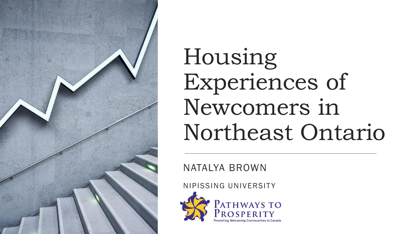

Housing Experiences of Newcomers in Northeast Ontario

NATALYA BROWN

NIPISSING UNIVERSITY

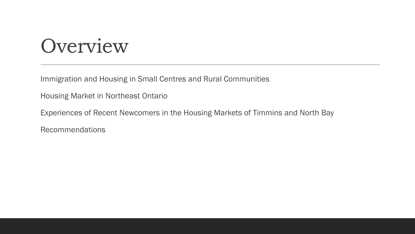### Overview

Immigration and Housing in Small Centres and Rural Communities

Housing Market in Northeast Ontario

Experiences of Recent Newcomers in the Housing Markets of Timmins and North Bay

Recommendations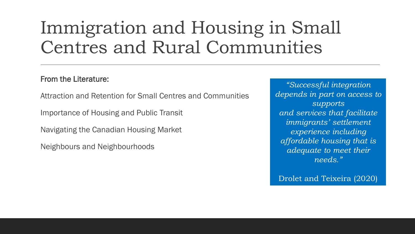#### Immigration and Housing in Small Centres and Rural Communities

#### From the Literature:

Attraction and Retention for Small Centres and Communities

Importance of Housing and Public Transit

Navigating the Canadian Housing Market

Neighbours and Neighbourhoods

*"Successful integration depends in part on access to supports and services that facilitate immigrants' settlement experience including affordable housing that is adequate to meet their needs."*

Drolet and Teixeira (2020)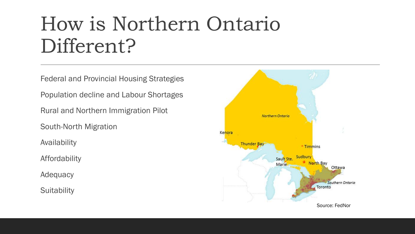## How is Northern Ontario Different?

Federal and Provincial Housing Strategies

Population decline and Labour Shortages

Rural and Northern Immigration Pilot

South-North Migration

Availability

Affordability

Adequacy

**Suitability** 

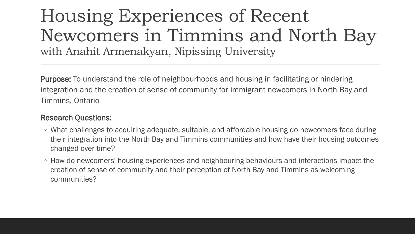#### Housing Experiences of Recent Newcomers in Timmins and North Bay with Anahit Armenakyan, Nipissing University

Purpose: To understand the role of neighbourhoods and housing in facilitating or hindering integration and the creation of sense of community for immigrant newcomers in North Bay and Timmins, Ontario

#### Research Questions:

- What challenges to acquiring adequate, suitable, and affordable housing do newcomers face during their integration into the North Bay and Timmins communities and how have their housing outcomes changed over time?
- How do newcomers' housing experiences and neighbouring behaviours and interactions impact the creation of sense of community and their perception of North Bay and Timmins as welcoming communities?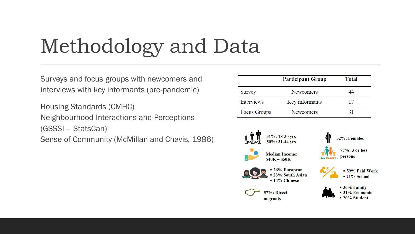# Methodology and Data

Surveys and focus groups with newcomers and interviews with key informants (pre-pandemic)

Housing Standards (CMHC) Neighbourhood Interactions and Perceptions (GSSSI – StatsCan) Sense of Community (McMillan and Chavis, 1986)

|                   | <b>Participant Group</b> | <b>Total</b> |
|-------------------|--------------------------|--------------|
| Survey            | <b>Newcomers</b>         |              |
| <b>Interviews</b> | Key informants           |              |
| Focus Groups      | <b>Newcomers</b>         |              |







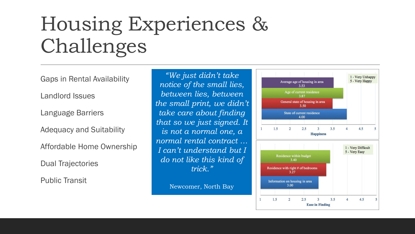# Housing Experiences & Challenges

Gaps in Rental Availability

Landlord Issues

Language Barriers

Adequacy and Suitability

Affordable Home Ownership

Dual Trajectories

Public Transit

*"We just didn't take notice of the small lies, between lies, between the small print, we didn't take care about finding that so we just signed. It is not a normal one, a normal rental contract … I can't understand but I do not like this kind of trick."*

Newcomer, North Bay

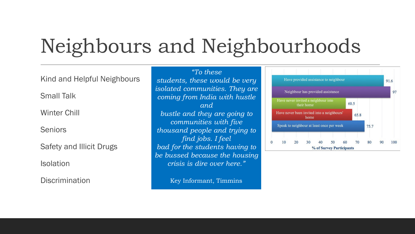# Neighbours and Neighbourhoods

Kind and Helpful Neighbours

Small Talk

Winter Chill

Seniors

Safety and Illicit Drugs

**Isolation** 

Discrimination

*"To these students, these would be very isolated communities. They are coming from India with hustle and bustle and they are going to communities with five thousand people and trying to find jobs. I feel bad for the students having to be bussed because the housing crisis is dire over here."*

Key Informant, Timmins

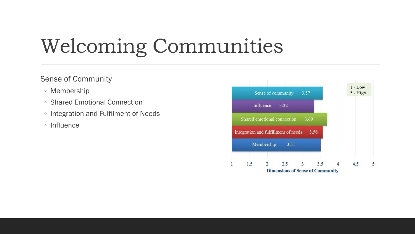# Welcoming Communities

#### Sense of Community

- Membership
- Shared Emotional Connection
- Integration and Fulfilment of Needs
- Influence

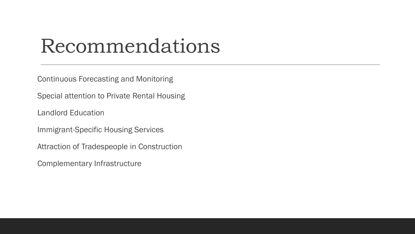### Recommendations

Continuous Forecasting and Monitoring

Special attention to Private Rental Housing

Landlord Education

Immigrant-Specific Housing Services

Attraction of Tradespeople in Construction

Complementary Infrastructure